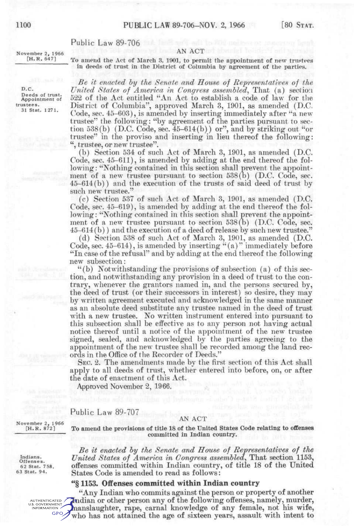# Public Law 89-706

### AN ACT

November 2, 1966 [H.R. 647]

To amend the Act of March 3, 1901, to permit the appointment of new trustees in deeds of trust in the District of Columbia by agreement of the parties.

*Be it enacted by the Senate and House of Representatives of the United States of America in Congress assembled^* That (a) section 522 of the Act entitled "An Act to establish a code of law for the District of Columbia", approved March 3, 1901, as amended (D.C, Code, sec. 45-603), is amended by inserting immediately after "a newtrustee" the following: "by agreement of the parties pursuant to section 538(b) (D.C. Code, sec.  $45-614(b)$ ) or", and by striking out "or trustee" in the proviso and inserting in lieu thereof the following: ", trustee, or new trustee",

(b) Section 534 of such Act of March 3, 1901, as amended (D.C. Code, sec. 45-611), is amended by adding at the end thereof the following: "Nothing contained in this section shall prevent the appointment of a new trustee pursuant to section  $538(b)$  (D.C. Code, sec. 45-614(b)) and the execution of the trusts of said deed of trust by such new trustee."

(c) Section 537 of such Act of March 3, 1901, as amended (D.C. Code, sec. 45-619), is amended by adding at the end thereof the following: "Nothing contained in this section shall prevent the appointment of a new trustee pursuant to section 538(b) (D.C. Code, sec. 45-614(b)) and the execution of a deed of release by such new trustee."

(d) Section 538 of such Act of March 3, 1901, as amended (D.C. Code, sec.  $45-614$ ), is amended by inserting "(a)" immediately before "In case of the refusal" and by adding at the end thereof the following new subsection:

"(b) Notwithstanding the provisions of subsection (a) of this section, and notwithstanding any provision in a deed of trust to the contrary, whenever the grantors named in, and the persons secured by, the deed of trust (or their successors in interest) so desire, they may by written agreement executed and acknowledged in the same manner as an absolute deed substitute any trustee named in the deed of trust with a new trustee. No written instrument entered into pursuant to this subsection shall be effective as to any person not having actual notice thereof until a notice of the appointment of the new trustee signed, sealed, and acknowledged by the parties agreeing to the appointment of the new trustee shall be recorded among the land records in the Office of the Recorder of Deeds."

SEC. 2. The amendments made by the first section of this Act shall apply to all deeds of trust, whether entered into before, on, or after the date of enactment of this Act.

Approved November 2, 1966.

Public Law 89-707

#### AN ACT

November 2, 1966 [H.R. 872]

Indians. Offenses. 62 Stat. 758, 63 Stat. 94.

**To amend the provisions of title 18 of the United States Code relating to ofEenses committed in Indian country.** 

*Be it enacted by the Senate and House of Representatives of the United States of America in Congress assembled^* **That section 1153,**  offenses committed within Indian country, of title 18 of the United States Code is amended to read as follows:

## **"§ 1153. Offenses committed within Indian country**

"Any Indian who commits against the person or property of another Indian or other person any of the following offenses, namely, murder, AUTHENTICATED U.S. GOVERNMENT manslaughter, rape, carnal knowledge of any female, not his wife, GPO, who has not attained the age of sixteen years, assault with intent to

D.c. Deeds of trust. Appointment of trustees. 31 Stat. 1271.